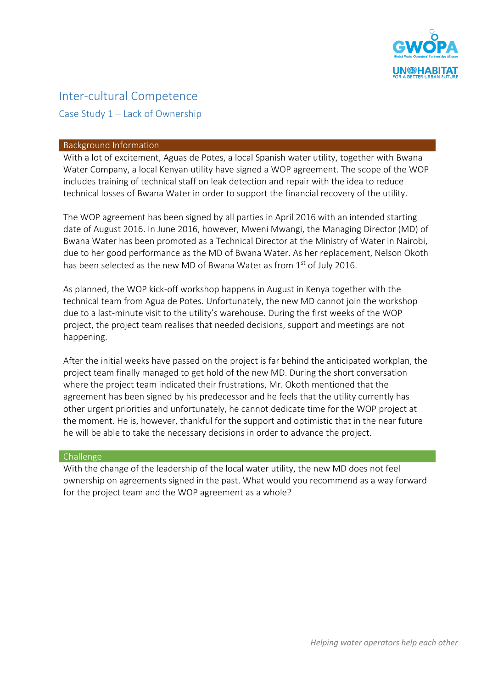

# Inter-cultural Competence Case Study 1 – Lack of Ownership

#### Background Information

With a lot of excitement, Aguas de Potes, a local Spanish water utility, together with Bwana Water Company, a local Kenyan utility have signed a WOP agreement. The scope of the WOP includes training of technical staff on leak detection and repair with the idea to reduce technical losses of Bwana Water in order to support the financial recovery of the utility.

The WOP agreement has been signed by all parties in April 2016 with an intended starting date of August 2016. In June 2016, however, Mweni Mwangi, the Managing Director (MD) of Bwana Water has been promoted as a Technical Director at the Ministry of Water in Nairobi, due to her good performance as the MD of Bwana Water. As her replacement, Nelson Okoth has been selected as the new MD of Bwana Water as from 1<sup>st</sup> of July 2016.

As planned, the WOP kick-off workshop happens in August in Kenya together with the technical team from Agua de Potes. Unfortunately, the new MD cannot join the workshop due to a last-minute visit to the utility's warehouse. During the first weeks of the WOP project, the project team realises that needed decisions, support and meetings are not happening.

After the initial weeks have passed on the project is far behind the anticipated workplan, the project team finally managed to get hold of the new MD. During the short conversation where the project team indicated their frustrations, Mr. Okoth mentioned that the agreement has been signed by his predecessor and he feels that the utility currently has other urgent priorities and unfortunately, he cannot dedicate time for the WOP project at the moment. He is, however, thankful for the support and optimistic that in the near future he will be able to take the necessary decisions in order to advance the project.

### Challenge

With the change of the leadership of the local water utility, the new MD does not feel ownership on agreements signed in the past. What would you recommend as a way forward for the project team and the WOP agreement as a whole?